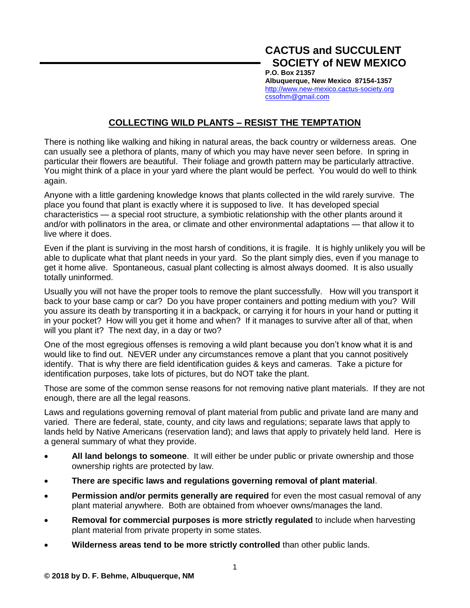## **COLLECTING WILD PLANTS – RESIST THE TEMPTATION**

There is nothing like walking and hiking in natural areas, the back country or wilderness areas. One can usually see a plethora of plants, many of which you may have never seen before. In spring in particular their flowers are beautiful. Their foliage and growth pattern may be particularly attractive. You might think of a place in your yard where the plant would be perfect. You would do well to think again.

Anyone with a little gardening knowledge knows that plants collected in the wild rarely survive. The place you found that plant is exactly where it is supposed to live. It has developed special characteristics — a special root structure, a symbiotic relationship with the other plants around it and/or with pollinators in the area, or climate and other environmental adaptations — that allow it to live where it does.

Even if the plant is surviving in the most harsh of conditions, it is fragile. It is highly unlikely you will be able to duplicate what that plant needs in your yard. So the plant simply dies, even if you manage to get it home alive. Spontaneous, casual plant collecting is almost always doomed. It is also usually totally uninformed.

Usually you will not have the proper tools to remove the plant successfully. How will you transport it back to your base camp or car? Do you have proper containers and potting medium with you? Will you assure its death by transporting it in a backpack, or carrying it for hours in your hand or putting it in your pocket? How will you get it home and when? If it manages to survive after all of that, when will you plant it? The next day, in a day or two?

One of the most egregious offenses is removing a wild plant because you don't know what it is and would like to find out. NEVER under any circumstances remove a plant that you cannot positively identify. That is why there are field identification guides & keys and cameras. Take a picture for identification purposes, take lots of pictures, but do NOT take the plant.

Those are some of the common sense reasons for not removing native plant materials. If they are not enough, there are all the legal reasons.

Laws and regulations governing removal of plant material from public and private land are many and varied. There are federal, state, county, and city laws and regulations; separate laws that apply to lands held by Native Americans (reservation land); and laws that apply to privately held land. Here is a general summary of what they provide.

- **All land belongs to someone**. It will either be under public or private ownership and those ownership rights are protected by law.
- **There are specific laws and regulations governing removal of plant material**.
- **Permission and/or permits generally are required** for even the most casual removal of any plant material anywhere. Both are obtained from whoever owns/manages the land.
- **Removal for commercial purposes is more strictly regulated** to include when harvesting plant material from private property in some states.
- **Wilderness areas tend to be more strictly controlled** than other public lands.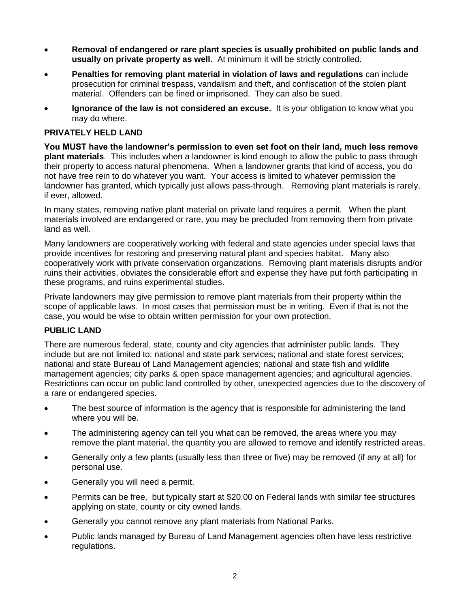- **Removal of endangered or rare plant species is usually prohibited on public lands and usually on private property as well.** At minimum it will be strictly controlled.
- **Penalties for removing plant material in violation of laws and regulations** can include prosecution for criminal trespass, vandalism and theft, and confiscation of the stolen plant material. Offenders can be fined or imprisoned. They can also be sued.
- **Ignorance of the law is not considered an excuse.** It is your obligation to know what you may do where.

## **PRIVATELY HELD LAND**

**You MUST have the landowner's permission to even set foot on their land, much less remove plant materials**. This includes when a landowner is kind enough to allow the public to pass through their property to access natural phenomena. When a landowner grants that kind of access, you do not have free rein to do whatever you want. Your access is limited to whatever permission the landowner has granted, which typically just allows pass-through. Removing plant materials is rarely, if ever, allowed.

In many states, removing native plant material on private land requires a permit. When the plant materials involved are endangered or rare, you may be precluded from removing them from private land as well.

Many landowners are cooperatively working with federal and state agencies under special laws that provide incentives for restoring and preserving natural plant and species habitat. Many also cooperatively work with private conservation organizations. Removing plant materials disrupts and/or ruins their activities, obviates the considerable effort and expense they have put forth participating in these programs, and ruins experimental studies.

Private landowners may give permission to remove plant materials from their property within the scope of applicable laws. In most cases that permission must be in writing. Even if that is not the case, you would be wise to obtain written permission for your own protection.

## **PUBLIC LAND**

There are numerous federal, state, county and city agencies that administer public lands. They include but are not limited to: national and state park services; national and state forest services; national and state Bureau of Land Management agencies; national and state fish and wildlife management agencies; city parks & open space management agencies; and agricultural agencies. Restrictions can occur on public land controlled by other, unexpected agencies due to the discovery of a rare or endangered species.

- The best source of information is the agency that is responsible for administering the land where you will be.
- The administering agency can tell you what can be removed, the areas where you may remove the plant material, the quantity you are allowed to remove and identify restricted areas.
- Generally only a few plants (usually less than three or five) may be removed (if any at all) for personal use.
- Generally you will need a permit.
- Permits can be free, but typically start at \$20.00 on Federal lands with similar fee structures applying on state, county or city owned lands.
- Generally you cannot remove any plant materials from National Parks.
- Public lands managed by Bureau of Land Management agencies often have less restrictive regulations.